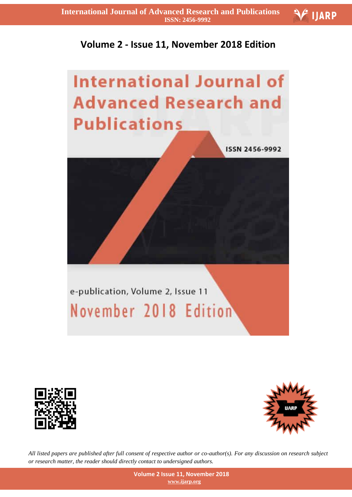



ISSN 2456-9992

**FIJARP** 



## e-publication, Volume 2, Issue 11 November 2018 Edition





*All listed papers are published after full consent of respective author or co-author(s). For any discussion on research subject or research matter, the reader should directly contact to undersigned authors.*

> **Volume 2 Issue 11, November 2018 www.ijarp.org**